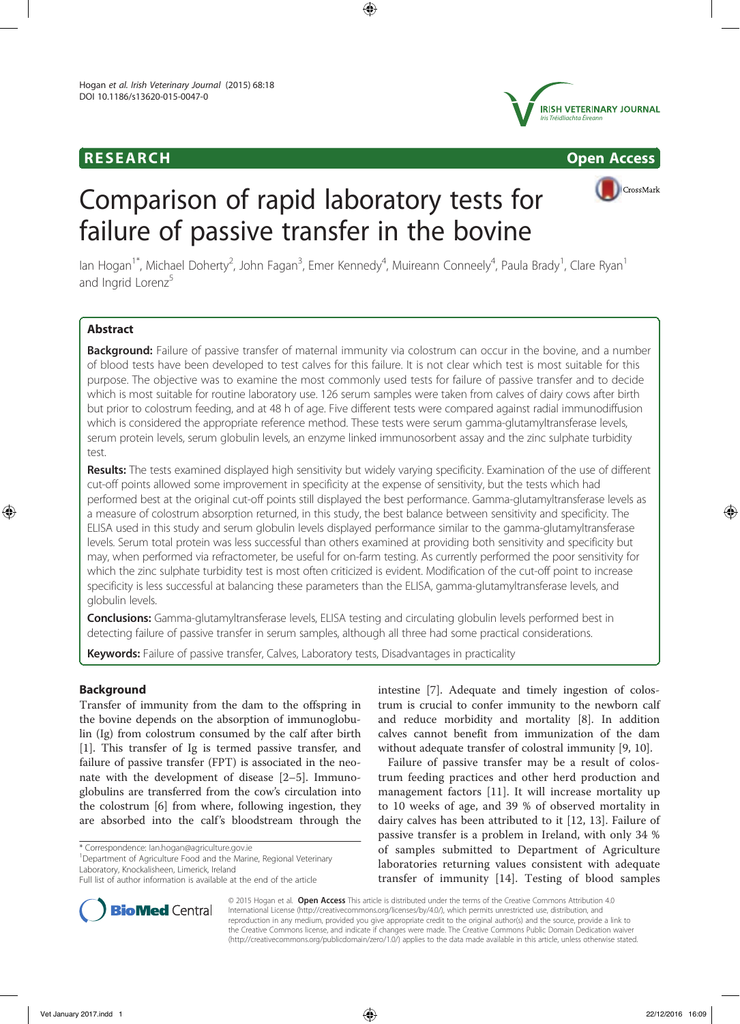# **RESEARCH CHOOSE INTERNATIONAL CONSUMING THE CONSUMING OPEN Access**



CrossMark

# Comparison of rapid laboratory tests for failure of passive transfer in the bovine

lan Hogan<sup>1\*</sup>, Michael Doherty<sup>2</sup>, John Fagan<sup>3</sup>, Emer Kennedy<sup>4</sup>, Muireann Conneely<sup>4</sup>, Paula Brady<sup>1</sup>, Clare Ryan<sup>1</sup> and Ingrid Lorenz<sup>5</sup>

# Abstract

**Background:** Failure of passive transfer of maternal immunity via colostrum can occur in the bovine, and a number of blood tests have been developed to test calves for this failure. It is not clear which test is most suitable for this purpose. The objective was to examine the most commonly used tests for failure of passive transfer and to decide which is most suitable for routine laboratory use. 126 serum samples were taken from calves of dairy cows after birth but prior to colostrum feeding, and at 48 h of age. Five different tests were compared against radial immunodiffusion which is considered the appropriate reference method. These tests were serum gamma-glutamyltransferase levels, serum protein levels, serum globulin levels, an enzyme linked immunosorbent assay and the zinc sulphate turbidity test.

Results: The tests examined displayed high sensitivity but widely varying specificity. Examination of the use of different cut-off points allowed some improvement in specificity at the expense of sensitivity, but the tests which had performed best at the original cut-off points still displayed the best performance. Gamma-glutamyltransferase levels as a measure of colostrum absorption returned, in this study, the best balance between sensitivity and specificity. The ELISA used in this study and serum globulin levels displayed performance similar to the gamma-glutamyltransferase levels. Serum total protein was less successful than others examined at providing both sensitivity and specificity but may, when performed via refractometer, be useful for on-farm testing. As currently performed the poor sensitivity for which the zinc sulphate turbidity test is most often criticized is evident. Modification of the cut-off point to increase specificity is less successful at balancing these parameters than the ELISA, gamma-glutamyltransferase levels, and globulin levels.

**Conclusions:** Gamma-glutamyltransferase levels, ELISA testing and circulating globulin levels performed best in detecting failure of passive transfer in serum samples, although all three had some practical considerations.

Keywords: Failure of passive transfer, Calves, Laboratory tests, Disadvantages in practicality

# **Background**

Transfer of immunity from the dam to the offspring in the bovine depends on the absorption of immunoglobulin (Ig) from colostrum consumed by the calf after birth [1]. This transfer of Ig is termed passive transfer, and failure of passive transfer (FPT) is associated in the neonate with the development of disease [2–5]. Immunoglobulins are transferred from the cow's circulation into the colostrum [6] from where, following ingestion, they are absorbed into the calf's bloodstream through the

\* Correspondence: Ian.hogan@agriculture.gov.ie <sup>1</sup>

<sup>1</sup> Department of Agriculture Food and the Marine, Regional Veterinary Laboratory, Knockalisheen, Limerick, Ireland



Failure of passive transfer may be a result of colostrum feeding practices and other herd production and management factors [11]. It will increase mortality up to 10 weeks of age, and 39 % of observed mortality in dairy calves has been attributed to it [12, 13]. Failure of passive transfer is a problem in Ireland, with only 34 % of samples submitted to Department of Agriculture laboratories returning values consistent with adequate transfer of immunity [14]. Testing of blood samples



© 2015 Hogan et al. Open Access This article is distributed under the terms of the Creative Commons Attribution 4.0 International License (http://creativecommons.org/licenses/by/4.0/), which permits unrestricted use, distribution, and reproduction in any medium, provided you give appropriate credit to the original author(s) and the source, provide a link to the Creative Commons license, and indicate if changes were made. The Creative Commons Public Domain Dedication waiver (http://creativecommons.org/publicdomain/zero/1.0/) applies to the data made available in this article, unless otherwise stated.

Full list of author information is available at the end of the article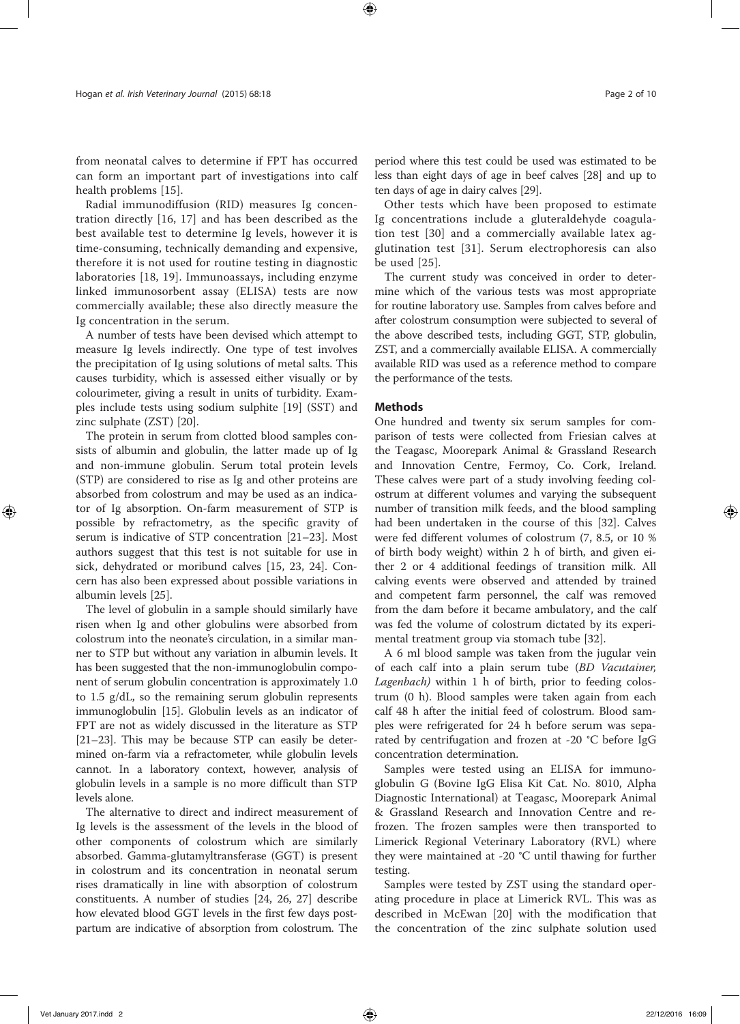from neonatal calves to determine if FPT has occurred can form an important part of investigations into calf health problems [15].

Radial immunodiffusion (RID) measures Ig concentration directly [16, 17] and has been described as the best available test to determine Ig levels, however it is time-consuming, technically demanding and expensive, therefore it is not used for routine testing in diagnostic laboratories [18, 19]. Immunoassays, including enzyme linked immunosorbent assay (ELISA) tests are now commercially available; these also directly measure the Ig concentration in the serum.

A number of tests have been devised which attempt to measure Ig levels indirectly. One type of test involves the precipitation of Ig using solutions of metal salts. This causes turbidity, which is assessed either visually or by colourimeter, giving a result in units of turbidity. Examples include tests using sodium sulphite [19] (SST) and zinc sulphate (ZST) [20].

The protein in serum from clotted blood samples consists of albumin and globulin, the latter made up of Ig and non-immune globulin. Serum total protein levels (STP) are considered to rise as Ig and other proteins are absorbed from colostrum and may be used as an indicator of Ig absorption. On-farm measurement of STP is possible by refractometry, as the specific gravity of serum is indicative of STP concentration [21–23]. Most authors suggest that this test is not suitable for use in sick, dehydrated or moribund calves [15, 23, 24]. Concern has also been expressed about possible variations in albumin levels [25].

The level of globulin in a sample should similarly have risen when Ig and other globulins were absorbed from colostrum into the neonate's circulation, in a similar manner to STP but without any variation in albumin levels. It has been suggested that the non-immunoglobulin component of serum globulin concentration is approximately 1.0 to 1.5 g/dL, so the remaining serum globulin represents immunoglobulin [15]. Globulin levels as an indicator of FPT are not as widely discussed in the literature as STP [21–23]. This may be because STP can easily be determined on-farm via a refractometer, while globulin levels cannot. In a laboratory context, however, analysis of globulin levels in a sample is no more difficult than STP levels alone.

The alternative to direct and indirect measurement of Ig levels is the assessment of the levels in the blood of other components of colostrum which are similarly absorbed. Gamma-glutamyltransferase (GGT) is present in colostrum and its concentration in neonatal serum rises dramatically in line with absorption of colostrum constituents. A number of studies [24, 26, 27] describe how elevated blood GGT levels in the first few days postpartum are indicative of absorption from colostrum. The

Other tests which have been proposed to estimate Ig concentrations include a gluteraldehyde coagulation test [30] and a commercially available latex agglutination test [31]. Serum electrophoresis can also be used [25].

The current study was conceived in order to determine which of the various tests was most appropriate for routine laboratory use. Samples from calves before and after colostrum consumption were subjected to several of the above described tests, including GGT, STP, globulin, ZST, and a commercially available ELISA. A commercially available RID was used as a reference method to compare the performance of the tests.

# **Methods**

One hundred and twenty six serum samples for comparison of tests were collected from Friesian calves at the Teagasc, Moorepark Animal & Grassland Research and Innovation Centre, Fermoy, Co. Cork, Ireland. These calves were part of a study involving feeding colostrum at different volumes and varying the subsequent number of transition milk feeds, and the blood sampling had been undertaken in the course of this [32]. Calves were fed different volumes of colostrum (7, 8.5, or 10 % of birth body weight) within 2 h of birth, and given either 2 or 4 additional feedings of transition milk. All calving events were observed and attended by trained and competent farm personnel, the calf was removed from the dam before it became ambulatory, and the calf was fed the volume of colostrum dictated by its experimental treatment group via stomach tube [32].

A 6 ml blood sample was taken from the jugular vein of each calf into a plain serum tube (BD Vacutainer, Lagenbach) within 1 h of birth, prior to feeding colostrum (0 h). Blood samples were taken again from each calf 48 h after the initial feed of colostrum. Blood samples were refrigerated for 24 h before serum was separated by centrifugation and frozen at -20 °C before IgG concentration determination.

Samples were tested using an ELISA for immunoglobulin G (Bovine IgG Elisa Kit Cat. No. 8010, Alpha Diagnostic International) at Teagasc, Moorepark Animal & Grassland Research and Innovation Centre and refrozen. The frozen samples were then transported to Limerick Regional Veterinary Laboratory (RVL) where they were maintained at -20 °C until thawing for further testing.

Samples were tested by ZST using the standard operating procedure in place at Limerick RVL. This was as described in McEwan [20] with the modification that the concentration of the zinc sulphate solution used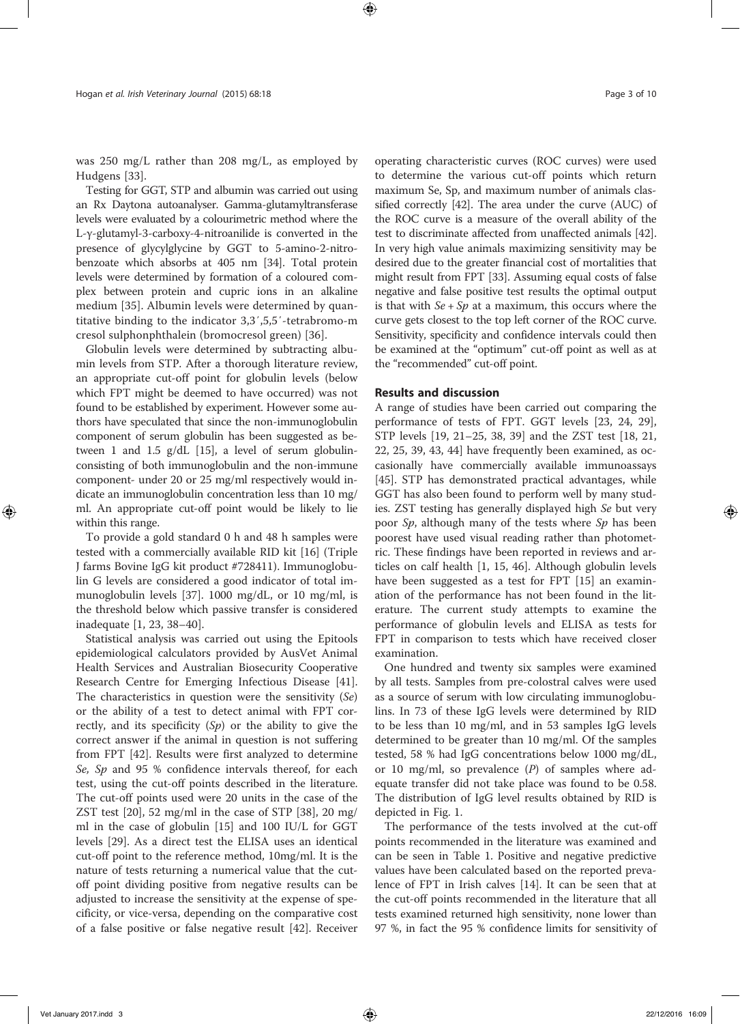was 250 mg/L rather than 208 mg/L, as employed by Hudgens [33].

Testing for GGT, STP and albumin was carried out using an Rx Daytona autoanalyser. Gamma-glutamyltransferase levels were evaluated by a colourimetric method where the L-γ-glutamyl-3-carboxy-4-nitroanilide is converted in the presence of glycylglycine by GGT to 5-amino-2-nitrobenzoate which absorbs at 405 nm [34]. Total protein levels were determined by formation of a coloured complex between protein and cupric ions in an alkaline medium [35]. Albumin levels were determined by quantitative binding to the indicator 3,3′,5,5′-tetrabromo-m cresol sulphonphthalein (bromocresol green) [36].

Globulin levels were determined by subtracting albumin levels from STP. After a thorough literature review, an appropriate cut-off point for globulin levels (below which FPT might be deemed to have occurred) was not found to be established by experiment. However some authors have speculated that since the non-immunoglobulin component of serum globulin has been suggested as between 1 and 1.5 g/dL [15], a level of serum globulinconsisting of both immunoglobulin and the non-immune component- under 20 or 25 mg/ml respectively would indicate an immunoglobulin concentration less than 10 mg/ ml. An appropriate cut-off point would be likely to lie within this range.

To provide a gold standard 0 h and 48 h samples were tested with a commercially available RID kit [16] (Triple J farms Bovine IgG kit product #728411). Immunoglobulin G levels are considered a good indicator of total immunoglobulin levels [37]. 1000 mg/dL, or 10 mg/ml, is the threshold below which passive transfer is considered inadequate [1, 23, 38–40].

Statistical analysis was carried out using the Epitools epidemiological calculators provided by AusVet Animal Health Services and Australian Biosecurity Cooperative Research Centre for Emerging Infectious Disease [41]. The characteristics in question were the sensitivity  $(Se)$ or the ability of a test to detect animal with FPT correctly, and its specificity  $(Sp)$  or the ability to give the correct answer if the animal in question is not suffering from FPT [42]. Results were first analyzed to determine Se, Sp and 95 % confidence intervals thereof, for each test, using the cut-off points described in the literature. The cut-off points used were 20 units in the case of the ZST test [20], 52 mg/ml in the case of STP [38], 20 mg/ ml in the case of globulin [15] and 100 IU/L for GGT levels [29]. As a direct test the ELISA uses an identical cut-off point to the reference method, 10mg/ml. It is the nature of tests returning a numerical value that the cutoff point dividing positive from negative results can be adjusted to increase the sensitivity at the expense of specificity, or vice-versa, depending on the comparative cost of a false positive or false negative result [42]. Receiver operating characteristic curves (ROC curves) were used to determine the various cut-off points which return maximum Se, Sp, and maximum number of animals classified correctly [42]. The area under the curve (AUC) of the ROC curve is a measure of the overall ability of the test to discriminate affected from unaffected animals [42]. In very high value animals maximizing sensitivity may be desired due to the greater financial cost of mortalities that might result from FPT [33]. Assuming equal costs of false negative and false positive test results the optimal output is that with  $Se + Sp$  at a maximum, this occurs where the curve gets closest to the top left corner of the ROC curve. Sensitivity, specificity and confidence intervals could then be examined at the "optimum" cut-off point as well as at the "recommended" cut-off point.

# Results and discussion

A range of studies have been carried out comparing the performance of tests of FPT. GGT levels [23, 24, 29], STP levels [19, 21–25, 38, 39] and the ZST test [18, 21, 22, 25, 39, 43, 44] have frequently been examined, as occasionally have commercially available immunoassays [45]. STP has demonstrated practical advantages, while GGT has also been found to perform well by many studies. ZST testing has generally displayed high Se but very poor Sp, although many of the tests where Sp has been poorest have used visual reading rather than photometric. These findings have been reported in reviews and articles on calf health [1, 15, 46]. Although globulin levels have been suggested as a test for FPT [15] an examination of the performance has not been found in the literature. The current study attempts to examine the performance of globulin levels and ELISA as tests for FPT in comparison to tests which have received closer examination.

One hundred and twenty six samples were examined by all tests. Samples from pre-colostral calves were used as a source of serum with low circulating immunoglobulins. In 73 of these IgG levels were determined by RID to be less than 10 mg/ml, and in 53 samples IgG levels determined to be greater than 10 mg/ml. Of the samples tested, 58 % had IgG concentrations below 1000 mg/dL, or 10 mg/ml, so prevalence  $(P)$  of samples where adequate transfer did not take place was found to be 0.58. The distribution of IgG level results obtained by RID is depicted in Fig. 1.

The performance of the tests involved at the cut-off points recommended in the literature was examined and can be seen in Table 1. Positive and negative predictive values have been calculated based on the reported prevalence of FPT in Irish calves [14]. It can be seen that at the cut-off points recommended in the literature that all tests examined returned high sensitivity, none lower than 97 %, in fact the 95 % confidence limits for sensitivity of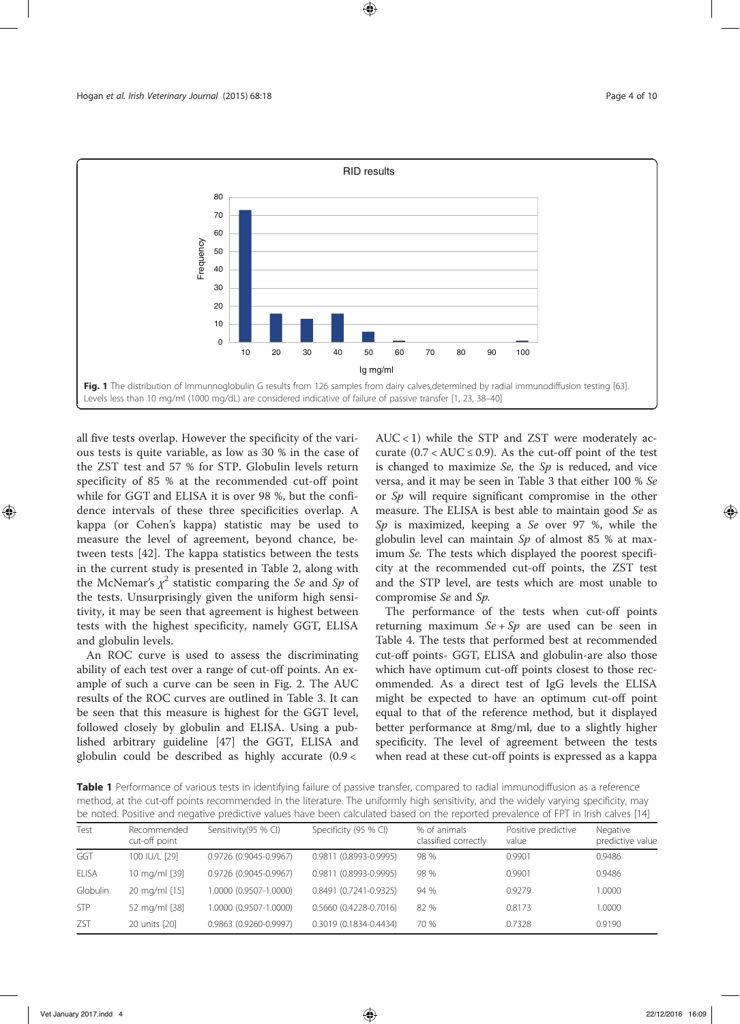

all five tests overlap. However the specificity of the various tests is quite variable, as low as 30 % in the case of the ZST test and 57 % for STP. Globulin levels return specificity of 85 % at the recommended cut-off point while for GGT and ELISA it is over 98 %, but the confidence intervals of these three specificities overlap. A kappa (or Cohen's kappa) statistic may be used to measure the level of agreement, beyond chance, between tests [42]. The kappa statistics between the tests in the current study is presented in Table 2, along with the McNemar's  $\chi^2$  statistic comparing the Se and Sp of the tests. Unsurprisingly given the uniform high sensitivity, it may be seen that agreement is highest between tests with the highest specificity, namely GGT, ELISA and globulin levels.

An ROC curve is used to assess the discriminating ability of each test over a range of cut-off points. An example of such a curve can be seen in Fig. 2. The AUC results of the ROC curves are outlined in Table 3. It can be seen that this measure is highest for the GGT level, followed closely by globulin and ELISA. Using a published arbitrary guideline [47] the GGT, ELISA and globulin could be described as highly accurate (0.9 <

 $AUC < 1$ ) while the STP and ZST were moderately accurate  $(0.7 < AUC \le 0.9)$ . As the cut-off point of the test is changed to maximize  $Se$ , the  $Sp$  is reduced, and vice versa, and it may be seen in Table 3 that either 100 % Se or Sp will require significant compromise in the other measure. The ELISA is best able to maintain good Se as Sp is maximized, keeping a Se over 97 %, while the globulin level can maintain  $Sp$  of almost 85 % at maximum Se. The tests which displayed the poorest specificity at the recommended cut-off points, the ZST test and the STP level, are tests which are most unable to compromise Se and Sp.

The performance of the tests when cut-off points returning maximum  $Se + Sp$  are used can be seen in Table 4. The tests that performed best at recommended cut-off points- GGT, ELISA and globulin-are also those which have optimum cut-off points closest to those recommended. As a direct test of IgG levels the ELISA might be expected to have an optimum cut-off point equal to that of the reference method, but it displayed better performance at 8mg/ml, due to a slightly higher specificity. The level of agreement between the tests when read at these cut-off points is expressed as a kappa

Table 1 Performance of various tests in identifying failure of passive transfer, compared to radial immunodiffusion as a reference method, at the cut-off points recommended in the literature. The uniformly high sensitivity, and the widely varying specificity, may be noted. Positive and negative predictive values have been calculated based on the reported prevalence of FPT in Irish calves [14]

| Test         | Recommended<br>cut-off point | Sensitivity(95 % CI)   | Specificity (95 % CI)  | % of animals<br>classified correctly | Positive predictive<br>value | Negative<br>predictive value |
|--------------|------------------------------|------------------------|------------------------|--------------------------------------|------------------------------|------------------------------|
| GGT          | 100 IU/L [29]                | 0.9726 (0.9045-0.9967) | 0.9811 (0.8993-0.9995) | 98 %                                 | 0.9901                       | 0.9486                       |
| <b>ELISA</b> | 10 mg/ml [39]                | 0.9726 (0.9045-0.9967) | 0.9811 (0.8993-0.9995) | 98 %                                 | 0.9901                       | 0.9486                       |
| Globulin     | 20 mg/ml [15]                | 1.0000 (0.9507-1.0000) | 0.8491 (0.7241-0.9325) | 94 %                                 | 0.9279                       | 1.0000                       |
| <b>STP</b>   | 52 mg/ml [38]                | 1.0000 (0.9507-1.0000) | 0.5660 (0.4228-0.7016) | 82%                                  | 0.8173                       | 1.0000                       |
| <b>ZST</b>   | 20 units [20]                | 0.9863 (0.9260-0.9997) | 0.3019 (0.1834-0.4434) | 70 %                                 | 0.7328                       | 0.9190                       |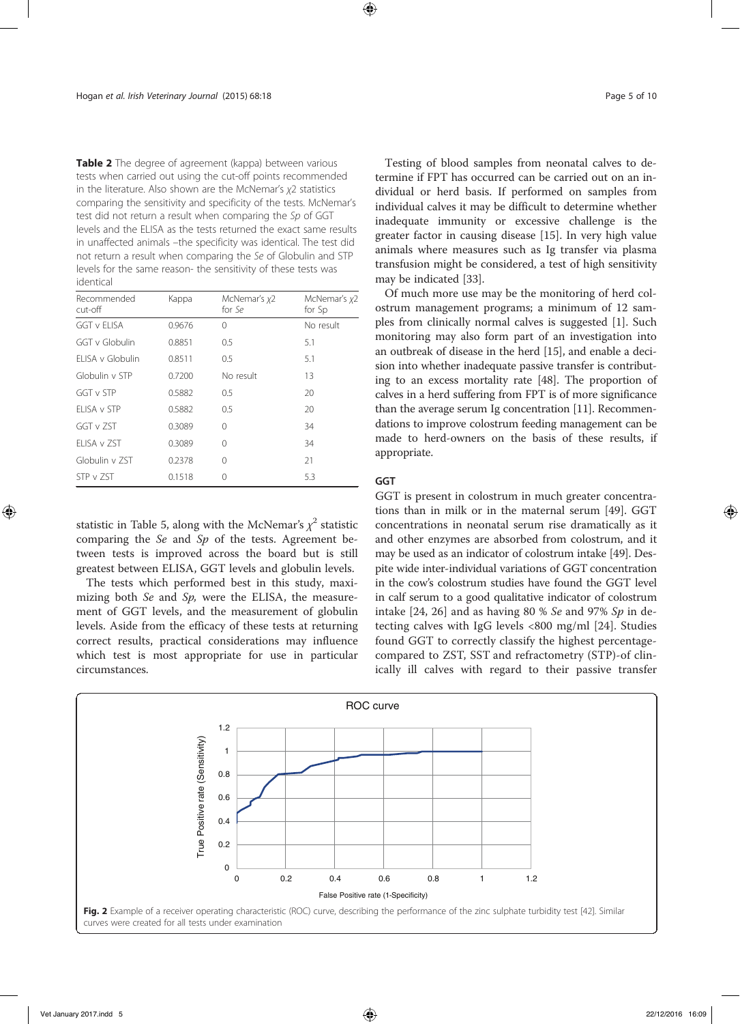Table 2 The degree of agreement (kappa) between various tests when carried out using the cut-off points recommended in the literature. Also shown are the McNemar's χ2 statistics comparing the sensitivity and specificity of the tests. McNemar's test did not return a result when comparing the Sp of GGT levels and the ELISA as the tests returned the exact same results in unaffected animals –the specificity was identical. The test did not return a result when comparing the Se of Globulin and STP levels for the same reason- the sensitivity of these tests was identical

| Recommended<br>Kappa<br>cut-off |        | McNemar's x2<br>for Se | McNemar's x2<br>for Sp |
|---------------------------------|--------|------------------------|------------------------|
| <b>GGT v ELISA</b>              | 0.9676 | $\Omega$               | No result              |
| GGT v Globulin                  | 0.8851 | 0.5                    | 5.1                    |
| ELISA v Globulin                | 0.8511 | 0.5                    | 5.1                    |
| Globulin v STP                  | 0.7200 | No result              | 13                     |
| GGT v STP                       | 0.5882 | 0.5                    | 20                     |
| FLISA v STP                     | 0.5882 | 0.5                    | 20                     |
| GGT v ZST                       | 0.3089 | 0                      | 34                     |
| FLISA v ZST                     | 0.3089 | 0                      | 34                     |
| Globulin v 7ST                  | 0.2378 | $\Omega$               | 21                     |
| STP v 7ST                       | 0.1518 | Ω                      | 5.3                    |

statistic in Table 5, along with the McNemar's  $\chi^2$  statistic comparing the  $Se$  and  $Sp$  of the tests. Agreement between tests is improved across the board but is still greatest between ELISA, GGT levels and globulin levels.

The tests which performed best in this study, maximizing both  $Se$  and  $Sp$ , were the ELISA, the measurement of GGT levels, and the measurement of globulin levels. Aside from the efficacy of these tests at returning correct results, practical considerations may influence which test is most appropriate for use in particular circumstances.

Testing of blood samples from neonatal calves to determine if FPT has occurred can be carried out on an individual or herd basis. If performed on samples from individual calves it may be difficult to determine whether inadequate immunity or excessive challenge is the greater factor in causing disease [15]. In very high value animals where measures such as Ig transfer via plasma transfusion might be considered, a test of high sensitivity may be indicated [33].

Of much more use may be the monitoring of herd colostrum management programs; a minimum of 12 samples from clinically normal calves is suggested [1]. Such monitoring may also form part of an investigation into an outbreak of disease in the herd [15], and enable a decision into whether inadequate passive transfer is contributing to an excess mortality rate [48]. The proportion of calves in a herd suffering from FPT is of more significance than the average serum Ig concentration [11]. Recommendations to improve colostrum feeding management can be made to herd-owners on the basis of these results, if appropriate.

# **GGT**

GGT is present in colostrum in much greater concentrations than in milk or in the maternal serum [49]. GGT concentrations in neonatal serum rise dramatically as it and other enzymes are absorbed from colostrum, and it may be used as an indicator of colostrum intake [49]. Despite wide inter-individual variations of GGT concentration in the cow's colostrum studies have found the GGT level in calf serum to a good qualitative indicator of colostrum intake  $[24, 26]$  and as having 80 % Se and 97% Sp in detecting calves with IgG levels <800 mg/ml [24]. Studies found GGT to correctly classify the highest percentagecompared to ZST, SST and refractometry (STP)-of clinically ill calves with regard to their passive transfer

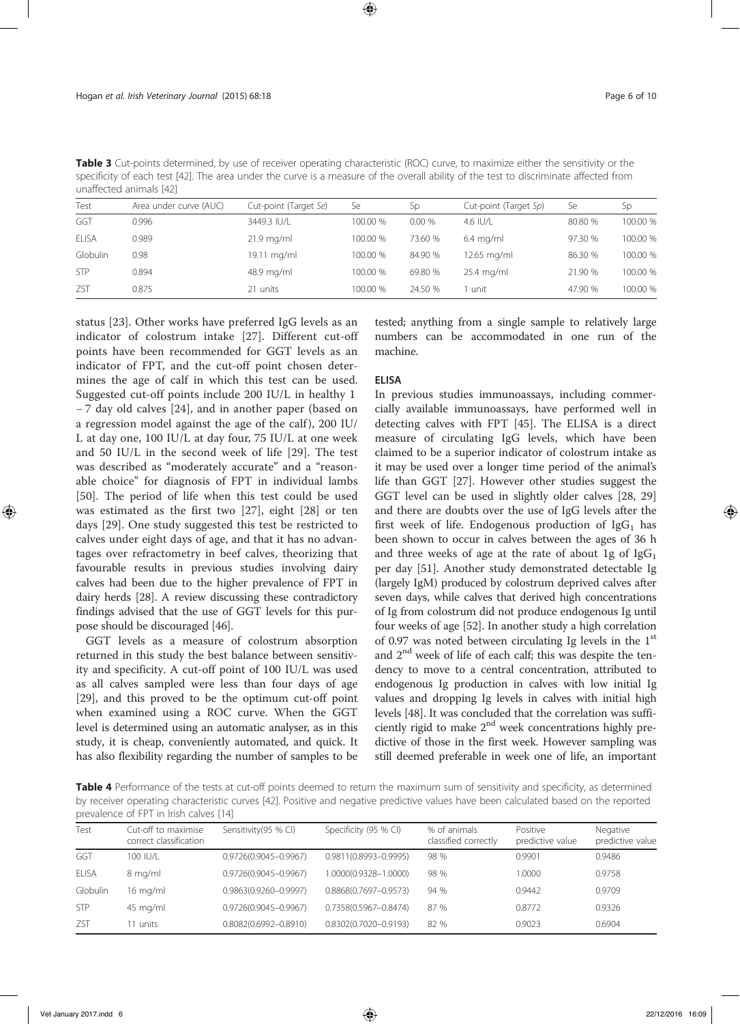| <b>Table 3</b> Cut-points determined, by use of receiver operating characteristic (ROC) curve, to maximize either the sensitivity or the |  |
|------------------------------------------------------------------------------------------------------------------------------------------|--|
| specificity of each test [42]. The area under the curve is a measure of the overall ability of the test to discriminate affected from    |  |
| unaffected animals [42]                                                                                                                  |  |

| Test         | Area under curve (AUC) | Cut-point (Target Se) | Se       | <b>Sp</b> | Cut-point (Target Sp) | Se      | Sp       |
|--------------|------------------------|-----------------------|----------|-----------|-----------------------|---------|----------|
| GGT          | 0.996                  | 3449.3 IU/L           | 100.00 % | 0.00%     | 4.6 IU/L              | 80.80 % | 100.00 % |
| <b>ELISA</b> | 0.989                  | $21.9$ mg/ml          | 100.00 % | 73.60 %   | $6.4 \text{ mg/ml}$   | 97.30 % | 100.00 % |
| Globulin     | 0.98                   | 19.11 mg/ml           | 100.00 % | 84.90 %   | 12.65 mg/ml           | 86.30 % | 100.00 % |
| <b>STP</b>   | 0.894                  | 48.9 mg/ml            | 100.00 % | 69.80 %   | $25.4$ mg/ml          | 21.90 % | 100.00 % |
| ZST          | 0.875                  | 21 units              | 100.00 % | 24.50 %   | unit                  | 47.90 % | 100.00 % |

status [23]. Other works have preferred IgG levels as an indicator of colostrum intake [27]. Different cut-off points have been recommended for GGT levels as an indicator of FPT, and the cut-off point chosen determines the age of calf in which this test can be used. Suggested cut-off points include 200 IU/L in healthy 1 − 7 day old calves [24], and in another paper (based on a regression model against the age of the calf), 200 IU/ L at day one, 100 IU/L at day four, 75 IU/L at one week and 50 IU/L in the second week of life [29]. The test was described as "moderately accurate" and a "reasonable choice" for diagnosis of FPT in individual lambs [50]. The period of life when this test could be used was estimated as the first two [27], eight [28] or ten days [29]. One study suggested this test be restricted to calves under eight days of age, and that it has no advantages over refractometry in beef calves, theorizing that favourable results in previous studies involving dairy calves had been due to the higher prevalence of FPT in dairy herds [28]. A review discussing these contradictory findings advised that the use of GGT levels for this purpose should be discouraged [46].

GGT levels as a measure of colostrum absorption returned in this study the best balance between sensitivity and specificity. A cut-off point of 100 IU/L was used as all calves sampled were less than four days of age [29], and this proved to be the optimum cut-off point when examined using a ROC curve. When the GGT level is determined using an automatic analyser, as in this study, it is cheap, conveniently automated, and quick. It has also flexibility regarding the number of samples to be

tested; anything from a single sample to relatively large numbers can be accommodated in one run of the machine.

### ELISA

In previous studies immunoassays, including commercially available immunoassays, have performed well in detecting calves with FPT [45]. The ELISA is a direct measure of circulating IgG levels, which have been claimed to be a superior indicator of colostrum intake as it may be used over a longer time period of the animal's life than GGT [27]. However other studies suggest the GGT level can be used in slightly older calves [28, 29] and there are doubts over the use of IgG levels after the first week of life. Endogenous production of  $\lg G_1$  has been shown to occur in calves between the ages of 36 h and three weeks of age at the rate of about 1g of  $IgG<sub>1</sub>$ per day [51]. Another study demonstrated detectable Ig (largely IgM) produced by colostrum deprived calves after seven days, while calves that derived high concentrations of Ig from colostrum did not produce endogenous Ig until four weeks of age [52]. In another study a high correlation of 0.97 was noted between circulating Ig levels in the 1st and 2nd week of life of each calf; this was despite the tendency to move to a central concentration, attributed to endogenous Ig production in calves with low initial Ig values and dropping Ig levels in calves with initial high levels [48]. It was concluded that the correlation was sufficiently rigid to make  $2<sup>nd</sup>$  week concentrations highly predictive of those in the first week. However sampling was still deemed preferable in week one of life, an important

Table 4 Performance of the tests at cut-off points deemed to return the maximum sum of sensitivity and specificity, as determined by receiver operating characteristic curves [42]. Positive and negative predictive values have been calculated based on the reported prevalence of FPT in Irish calves [14]

| Cut-off to maximise<br>correct classification | Sensitivity(95 % CI)      | Specificity (95 % CI)     | % of animals<br>classified correctly | Positive<br>predictive value | Negative<br>predictive value |
|-----------------------------------------------|---------------------------|---------------------------|--------------------------------------|------------------------------|------------------------------|
| 100 IU/L                                      | 0.9726(0.9045-0.9967)     | $0.9811(0.8993 - 0.9995)$ | 98 %                                 | 0.9901                       | 0.9486                       |
| 8 mg/ml                                       | 0.9726(0.9045-0.9967)     | 1.0000(0.9328-1.0000)     | 98 %                                 | 1.0000                       | 0.9758                       |
| $16 \text{ mg/ml}$                            | 0.9863(0.9260-0.9997)     | 0.8868(0.7697-0.9573)     | 94 %                                 | 0.9442                       | 0.9709                       |
| 45 mg/ml                                      | 0.9726(0.9045-0.9967)     | 0.7358(0.5967-0.8474)     | 87 %                                 | 0.8772                       | 0.9326                       |
| 11 units.                                     | $0.8082(0.6992 - 0.8910)$ | 0.8302(0.7020-0.9193)     | 82 %                                 | 0.9023                       | 0.6904                       |
|                                               |                           |                           |                                      |                              |                              |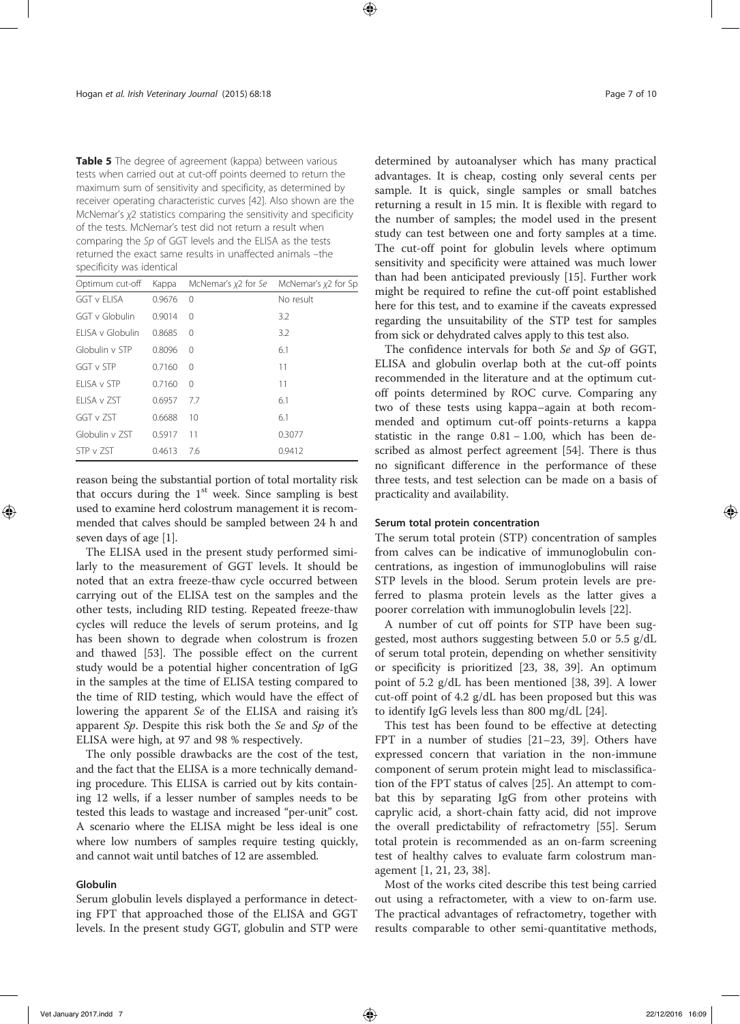Table 5 The degree of agreement (kappa) between various tests when carried out at cut-off points deemed to return the maximum sum of sensitivity and specificity, as determined by receiver operating characteristic curves [42]. Also shown are the McNemar's χ2 statistics comparing the sensitivity and specificity of the tests. McNemar's test did not return a result when comparing the Sp of GGT levels and the ELISA as the tests returned the exact same results in unaffected animals –the specificity was identical

| Optimum cut-off  | Kappa  | McNemar's x2 for Se | McNemar's $x^2$ for Sp |
|------------------|--------|---------------------|------------------------|
| GGT v FLISA      | 0.9676 | $\mathbf 0$         | No result              |
| GGT v Globulin   | 0.9014 | $\Omega$            | 3.2                    |
| ELISA v Globulin | 0.8685 | $\Omega$            | 3.2                    |
| Globulin v STP   | 0.8096 | $\Omega$            | 6.1                    |
| GGT v STP        | 0.7160 | $\Omega$            | 11                     |
| FLISA v STP      | 0.7160 | $\Omega$            | 11                     |
| FLISA v ZST      | 0.6957 | 7.7                 | 6.1                    |
| GGT v ZST        | 0.6688 | 10                  | 6.1                    |
| Globulin v 7ST   | 0.5917 | 11                  | 0.3077                 |
| STP v 7ST        | 0.4613 | 7.6                 | 0.9412                 |

reason being the substantial portion of total mortality risk that occurs during the  $1<sup>st</sup>$  week. Since sampling is best used to examine herd colostrum management it is recommended that calves should be sampled between 24 h and seven days of age [1].

The ELISA used in the present study performed similarly to the measurement of GGT levels. It should be noted that an extra freeze-thaw cycle occurred between carrying out of the ELISA test on the samples and the other tests, including RID testing. Repeated freeze-thaw cycles will reduce the levels of serum proteins, and Ig has been shown to degrade when colostrum is frozen and thawed [53]. The possible effect on the current study would be a potential higher concentration of IgG in the samples at the time of ELISA testing compared to the time of RID testing, which would have the effect of lowering the apparent Se of the ELISA and raising it's apparent Sp. Despite this risk both the Se and Sp of the ELISA were high, at 97 and 98 % respectively.

The only possible drawbacks are the cost of the test, and the fact that the ELISA is a more technically demanding procedure. This ELISA is carried out by kits containing 12 wells, if a lesser number of samples needs to be tested this leads to wastage and increased "per-unit" cost. A scenario where the ELISA might be less ideal is one where low numbers of samples require testing quickly, and cannot wait until batches of 12 are assembled.

# Globulin

Serum globulin levels displayed a performance in detecting FPT that approached those of the ELISA and GGT levels. In the present study GGT, globulin and STP were determined by autoanalyser which has many practical advantages. It is cheap, costing only several cents per sample. It is quick, single samples or small batches returning a result in 15 min. It is flexible with regard to the number of samples; the model used in the present study can test between one and forty samples at a time. The cut-off point for globulin levels where optimum sensitivity and specificity were attained was much lower than had been anticipated previously [15]. Further work might be required to refine the cut-off point established here for this test, and to examine if the caveats expressed regarding the unsuitability of the STP test for samples from sick or dehydrated calves apply to this test also.

The confidence intervals for both Se and Sp of GGT, ELISA and globulin overlap both at the cut-off points recommended in the literature and at the optimum cutoff points determined by ROC curve. Comparing any two of these tests using kappa–again at both recommended and optimum cut-off points-returns a kappa statistic in the range 0.81 − 1.00, which has been described as almost perfect agreement [54]. There is thus no significant difference in the performance of these three tests, and test selection can be made on a basis of practicality and availability.

# Serum total protein concentration

The serum total protein (STP) concentration of samples from calves can be indicative of immunoglobulin concentrations, as ingestion of immunoglobulins will raise STP levels in the blood. Serum protein levels are preferred to plasma protein levels as the latter gives a poorer correlation with immunoglobulin levels [22].

A number of cut off points for STP have been suggested, most authors suggesting between 5.0 or 5.5 g/dL of serum total protein, depending on whether sensitivity or specificity is prioritized [23, 38, 39]. An optimum point of 5.2 g/dL has been mentioned [38, 39]. A lower cut-off point of 4.2 g/dL has been proposed but this was to identify IgG levels less than 800 mg/dL [24].

This test has been found to be effective at detecting FPT in a number of studies [21–23, 39]. Others have expressed concern that variation in the non-immune component of serum protein might lead to misclassification of the FPT status of calves [25]. An attempt to combat this by separating IgG from other proteins with caprylic acid, a short-chain fatty acid, did not improve the overall predictability of refractometry [55]. Serum total protein is recommended as an on-farm screening test of healthy calves to evaluate farm colostrum management [1, 21, 23, 38].

Most of the works cited describe this test being carried out using a refractometer, with a view to on-farm use. The practical advantages of refractometry, together with results comparable to other semi-quantitative methods,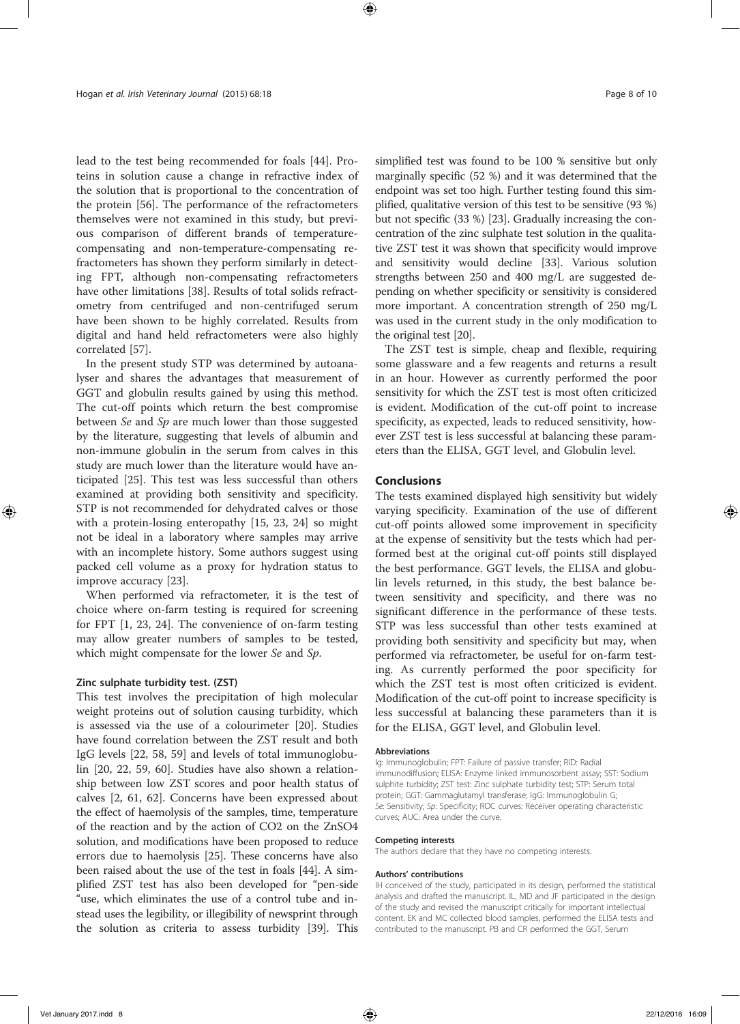lead to the test being recommended for foals [44]. Proteins in solution cause a change in refractive index of the solution that is proportional to the concentration of the protein [56]. The performance of the refractometers themselves were not examined in this study, but previous comparison of different brands of temperaturecompensating and non-temperature-compensating refractometers has shown they perform similarly in detecting FPT, although non-compensating refractometers have other limitations [38]. Results of total solids refractometry from centrifuged and non-centrifuged serum have been shown to be highly correlated. Results from digital and hand held refractometers were also highly correlated [57].

In the present study STP was determined by autoanalyser and shares the advantages that measurement of GGT and globulin results gained by using this method. The cut-off points which return the best compromise between Se and  $Sp$  are much lower than those suggested by the literature, suggesting that levels of albumin and non-immune globulin in the serum from calves in this study are much lower than the literature would have anticipated [25]. This test was less successful than others examined at providing both sensitivity and specificity. STP is not recommended for dehydrated calves or those with a protein-losing enteropathy [15, 23, 24] so might not be ideal in a laboratory where samples may arrive with an incomplete history. Some authors suggest using packed cell volume as a proxy for hydration status to improve accuracy [23].

When performed via refractometer, it is the test of choice where on-farm testing is required for screening for FPT [1, 23, 24]. The convenience of on-farm testing may allow greater numbers of samples to be tested, which might compensate for the lower Se and Sp.

#### Zinc sulphate turbidity test. (ZST)

This test involves the precipitation of high molecular weight proteins out of solution causing turbidity, which is assessed via the use of a colourimeter [20]. Studies have found correlation between the ZST result and both IgG levels [22, 58, 59] and levels of total immunoglobulin [20, 22, 59, 60]. Studies have also shown a relationship between low ZST scores and poor health status of calves [2, 61, 62]. Concerns have been expressed about the effect of haemolysis of the samples, time, temperature of the reaction and by the action of CO2 on the ZnSO4 solution, and modifications have been proposed to reduce errors due to haemolysis [25]. These concerns have also been raised about the use of the test in foals [44]. A simplified ZST test has also been developed for "pen-side "use, which eliminates the use of a control tube and instead uses the legibility, or illegibility of newsprint through the solution as criteria to assess turbidity [39]. This

simplified test was found to be 100 % sensitive but only marginally specific (52 %) and it was determined that the endpoint was set too high. Further testing found this simplified, qualitative version of this test to be sensitive (93 %) but not specific (33 %) [23]. Gradually increasing the concentration of the zinc sulphate test solution in the qualitative ZST test it was shown that specificity would improve and sensitivity would decline [33]. Various solution strengths between 250 and 400 mg/L are suggested depending on whether specificity or sensitivity is considered more important. A concentration strength of 250 mg/L was used in the current study in the only modification to the original test [20].

The ZST test is simple, cheap and flexible, requiring some glassware and a few reagents and returns a result in an hour. However as currently performed the poor sensitivity for which the ZST test is most often criticized is evident. Modification of the cut-off point to increase specificity, as expected, leads to reduced sensitivity, however ZST test is less successful at balancing these parameters than the ELISA, GGT level, and Globulin level.

# Conclusions

The tests examined displayed high sensitivity but widely varying specificity. Examination of the use of different cut-off points allowed some improvement in specificity at the expense of sensitivity but the tests which had performed best at the original cut-off points still displayed the best performance. GGT levels, the ELISA and globulin levels returned, in this study, the best balance between sensitivity and specificity, and there was no significant difference in the performance of these tests. STP was less successful than other tests examined at providing both sensitivity and specificity but may, when performed via refractometer, be useful for on-farm testing. As currently performed the poor specificity for which the ZST test is most often criticized is evident. Modification of the cut-off point to increase specificity is less successful at balancing these parameters than it is for the ELISA, GGT level, and Globulin level.

#### Abbreviations

Ig: Immunoglobulin; FPT: Failure of passive transfer; RID: Radial immunodiffusion; ELISA: Enzyme linked immunosorbent assay; SST: Sodium sulphite turbidity; ZST test: Zinc sulphate turbidity test; STP: Serum total protein; GGT: Gammaglutamyl transferase; IgG: Immunoglobulin G; Se: Sensitivity; Sp: Specificity; ROC curves: Receiver operating characteristic curves; AUC: Area under the curve.

#### Competing interests

The authors declare that they have no competing interests.

#### Authors' contributions

IH conceived of the study, participated in its design, performed the statistical analysis and drafted the manuscript. IL, MD and JF participated in the design of the study and revised the manuscript critically for important intellectual content. EK and MC collected blood samples, performed the ELISA tests and contributed to the manuscript. PB and CR performed the GGT, Serum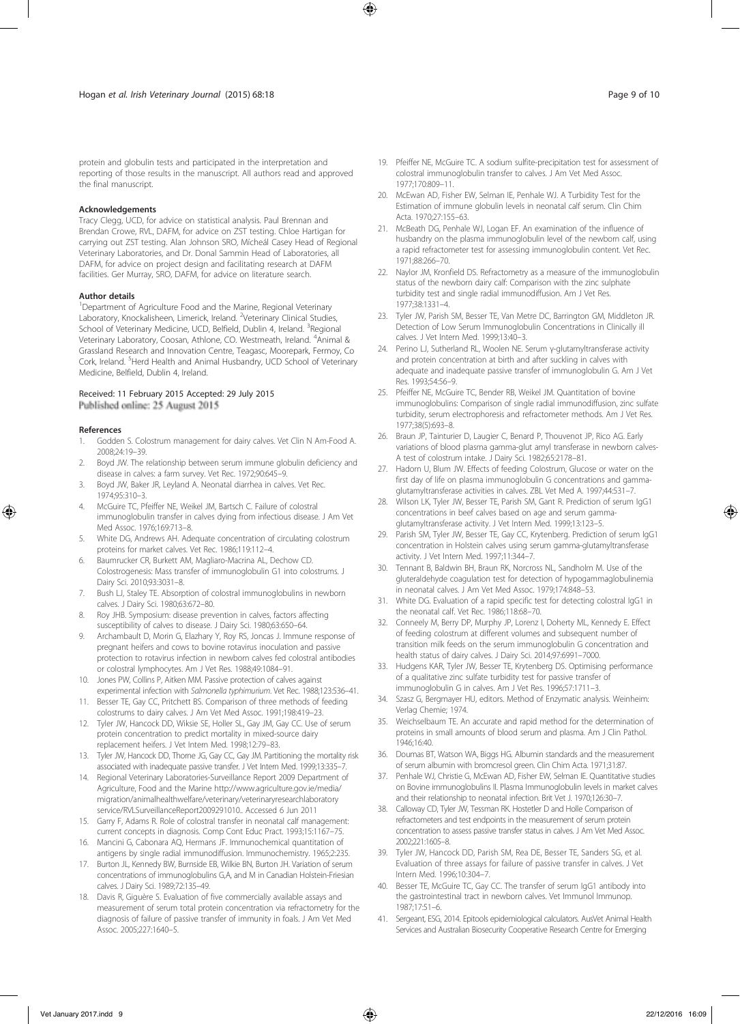protein and globulin tests and participated in the interpretation and reporting of those results in the manuscript. All authors read and approved the final manuscript.

#### Acknowledgements

Tracy Clegg, UCD, for advice on statistical analysis. Paul Brennan and Brendan Crowe, RVL, DAFM, for advice on ZST testing. Chloe Hartigan for carrying out ZST testing. Alan Johnson SRO, Mícheál Casey Head of Regional Veterinary Laboratories, and Dr. Donal Sammin Head of Laboratories, all DAFM, for advice on project design and facilitating research at DAFM facilities. Ger Murray, SRO, DAFM, for advice on literature search.

#### Author details

<sup>1</sup>Department of Agriculture Food and the Marine, Regional Veterinary Laboratory, Knockalisheen, Limerick, Ireland. <sup>2</sup>Veterinary Clinical Studies, School of Veterinary Medicine, UCD, Belfield, Dublin 4, Ireland. <sup>3</sup>Regional Veterinary Laboratory, Coosan, Athlone, CO. Westmeath, Ireland. <sup>4</sup>Animal & Grassland Research and Innovation Centre, Teagasc, Moorepark, Fermoy, Co Cork, Ireland. <sup>5</sup>Herd Health and Animal Husbandry, UCD School of Veterinary Medicine, Belfield, Dublin 4, Ireland.

#### Received: 11 February 2015 Accepted: 29 July 2015 Published online: 25 August 2015

#### References

- 1. Godden S. Colostrum management for dairy calves. Vet Clin N Am-Food A. 2008;24:19–39.
- 2. Boyd JW. The relationship between serum immune globulin deficiency and disease in calves: a farm survey. Vet Rec. 1972;90:645–9.
- 3. Boyd JW, Baker JR, Leyland A. Neonatal diarrhea in calves. Vet Rec. 1974;95:310–3.
- 4. McGuire TC, Pfeiffer NE, Weikel JM, Bartsch C. Failure of colostral immunoglobulin transfer in calves dying from infectious disease. J Am Vet Med Assoc. 1976;169:713–8.
- 5. White DG, Andrews AH. Adequate concentration of circulating colostrum proteins for market calves. Vet Rec. 1986;119:112–4.
- 6. Baumrucker CR, Burkett AM, Magliaro-Macrina AL, Dechow CD. Colostrogenesis: Mass transfer of immunoglobulin G1 into colostrums. J Dairy Sci. 2010;93:3031–8.
- 7. Bush LJ, Staley TE. Absorption of colostral immunoglobulins in newborn calves. J Dairy Sci. 1980;63:672–80.
- 8. Roy JHB. Symposium: disease prevention in calves, factors affecting susceptibility of calves to disease. J Dairy Sci. 1980;63:650–64.
- 9. Archambault D, Morin G, Elazhary Y, Roy RS, Joncas J. Immune response of pregnant heifers and cows to bovine rotavirus inoculation and passive protection to rotavirus infection in newborn calves fed colostral antibodies or colostral lymphocytes. Am J Vet Res. 1988;49:1084–91.
- 10. Jones PW, Collins P, Aitken MM. Passive protection of calves against experimental infection with Salmonella typhimurium. Vet Rec. 1988;123:536-41.
- 11. Besser TE, Gay CC, Pritchett BS. Comparison of three methods of feeding colostrums to dairy calves. J Am Vet Med Assoc. 1991;198:419–23.
- 12. Tyler JW, Hancock DD, Wiksie SE, Holler SL, Gay JM, Gay CC. Use of serum protein concentration to predict mortality in mixed-source dairy replacement heifers. J Vet Intern Med. 1998;12:79–83.
- 13. Tyler JW, Hancock DD, Thorne JG, Gay CC, Gay JM. Partitioning the mortality risk associated with inadequate passive transfer. J Vet Intern Med. 1999;13:335–7.
- 14. Regional Veterinary Laboratories-Surveillance Report 2009 Department of Agriculture, Food and the Marine http://www.agriculture.gov.ie/media/ migration/animalhealthwelfare/veterinary/veterinaryresearchlaboratory service/RVLSurveillanceReport2009291010.. Accessed 6 Jun 2011
- 15. Garry F, Adams R. Role of colostral transfer in neonatal calf management: current concepts in diagnosis. Comp Cont Educ Pract. 1993;15:1167–75.
- 16. Mancini G, Cabonara AQ, Hermans JF. Immunochemical quantitation of antigens by single radial immunodiffusion. Immunochemistry. 1965;2:235.
- 17. Burton JL, Kennedy BW, Burnside EB, Wilkie BN, Burton JH. Variation of serum concentrations of immunoglobulins G,A, and M in Canadian Holstein-Friesian calves. J Dairy Sci. 1989;72:135–49.
- 18. Davis R, Giguère S. Evaluation of five commercially available assays and measurement of serum total protein concentration via refractometry for the diagnosis of failure of passive transfer of immunity in foals. J Am Vet Med Assoc. 2005;227:1640–5.
- 19. Pfeiffer NE, McGuire TC. A sodium sulfite-precipitation test for assessment of colostral immunoglobulin transfer to calves. J Am Vet Med Assoc. 1977;170:809–11.
- 20. McEwan AD, Fisher EW, Selman IE, Penhale WJ. A Turbidity Test for the Estimation of immune globulin levels in neonatal calf serum. Clin Chim Acta. 1970;27:155–63.
- 21. McBeath DG, Penhale WJ, Logan EF. An examination of the influence of husbandry on the plasma immunoglobulin level of the newborn calf, using a rapid refractometer test for assessing immunoglobulin content. Vet Rec. 1971;88:266–70.
- 22. Naylor JM, Kronfield DS. Refractometry as a measure of the immunoglobulin status of the newborn dairy calf: Comparison with the zinc sulphate turbidity test and single radial immunodiffusion. Am J Vet Res. 1977;38:1331–4.
- 23. Tyler JW, Parish SM, Besser TE, Van Metre DC, Barrington GM, Middleton JR. Detection of Low Serum Immunoglobulin Concentrations in Clinically ill calves. J Vet Intern Med. 1999;13:40–3.
- 24. Perino LJ, Sutherland RL, Woolen NE. Serum γ-glutamyltransferase activity and protein concentration at birth and after suckling in calves with adequate and inadequate passive transfer of immunoglobulin G. Am J Vet Res. 1993;54:56–9.
- 25. Pfeiffer NE, McGuire TC, Bender RB, Weikel JM. Quantitation of bovine immunoglobulins: Comparison of single radial immunodiffusion, zinc sulfate turbidity, serum electrophoresis and refractometer methods. Am J Vet Res. 1977;38(5):693–8.
- 26. Braun JP, Tainturier D, Laugier C, Benard P, Thouvenot JP, Rico AG. Early variations of blood plasma gamma-glut amyl transferase in newborn calves-A test of colostrum intake. J Dairy Sci. 1982;65:2178–81.
- 27. Hadorn U, Blum JW. Effects of feeding Colostrum, Glucose or water on the first day of life on plasma immunoglobulin G concentrations and gammaglutamyltransferase activities in calves. ZBL Vet Med A. 1997;44:531–7.
- 28. Wilson LK, Tyler JW, Besser TE, Parish SM, Gant R. Prediction of serum IgG1 concentrations in beef calves based on age and serum gammaglutamyltransferase activity. J Vet Intern Med. 1999;13:123–5.
- 29. Parish SM, Tyler JW, Besser TE, Gay CC, Krytenberg. Prediction of serum IgG1 concentration in Holstein calves using serum gamma-glutamyltransferase activity. J Vet Intern Med. 1997;11:344–7.
- 30. Tennant B, Baldwin BH, Braun RK, Norcross NL, Sandholm M. Use of the gluteraldehyde coagulation test for detection of hypogammaglobulinemia in neonatal calves. J Am Vet Med Assoc. 1979;174:848–53.
- 31. White DG. Evaluation of a rapid specific test for detecting colostral IgG1 in the neonatal calf. Vet Rec. 1986;118:68–70.
- 32. Conneely M, Berry DP, Murphy JP, Lorenz I, Doherty ML, Kennedy E. Effect of feeding colostrum at different volumes and subsequent number of transition milk feeds on the serum immunoglobulin G concentration and health status of dairy calves. J Dairy Sci. 2014;97:6991–7000.
- 33. Hudgens KAR, Tyler JW, Besser TE, Krytenberg DS. Optimising performance of a qualitative zinc sulfate turbidity test for passive transfer of immunoglobulin G in calves. Am J Vet Res. 1996;57:1711–3.
- 34. Szasz G, Bergmayer HU, editors. Method of Enzymatic analysis. Weinheim: Verlag Chemie; 1974.
- 35. Weichselbaum TE. An accurate and rapid method for the determination of proteins in small amounts of blood serum and plasma. Am J Clin Pathol. 1946;16:40.
- Doumas BT, Watson WA, Biggs HG. Albumin standards and the measurement of serum albumin with bromcresol green. Clin Chim Acta. 1971;31:87.
- 37. Penhale WJ, Christie G, McEwan AD, Fisher EW, Selman IE. Quantitative studies on Bovine immunoglobulins II. Plasma Immunoglobulin levels in market calves and their relationship to neonatal infection. Brit Vet J. 1970;126:30–7.
- 38. Calloway CD, Tyler JW, Tessman RK. Hostetler D and Holle Comparison of refractometers and test endpoints in the measurement of serum protein concentration to assess passive transfer status in calves. J Am Vet Med Assoc. 2002;221:1605–8.
- 39. Tyler JW, Hancock DD, Parish SM, Rea DE, Besser TE, Sanders SG, et al. Evaluation of three assays for failure of passive transfer in calves. J Vet Intern Med. 1996;10:304–7.
- 40. Besser TE, McGuire TC, Gay CC. The transfer of serum IgG1 antibody into the gastrointestinal tract in newborn calves. Vet Immunol Immunop. 1987;17:51–6.
- 41. Sergeant, ESG, 2014. Epitools epidemiological calculators. AusVet Animal Health Services and Australian Biosecurity Cooperative Research Centre for Emerging